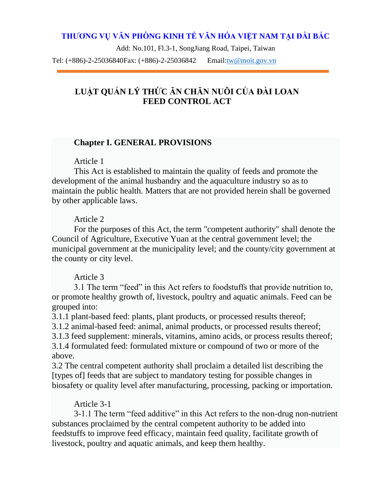# **THƯƠNG VỤ VĂN PHÒNG KINH TẾ VĂN HÓA VIỆT NAM TẠI ĐÀI BẮC**

Add: No.101, Fl.3-1, SongJiang Road, Taipei, Taiwan

Tel: (+886)-2-25036840Fax: (+886)-2-25036842 Email[:tw@moit.gov.vn](mailto:tw@moit.gov.vn)

# **LUẬT QUẢN LÝ THỨC ĂN CHĂN NUÔ I CỦA ĐÀI LOAN FEED CONTROL ACT**

#### **Chapter I. GENERAL PROVISIONS**

#### Article 1

This Act is established to maintain the quality of feeds and promote the development of the animal husbandry and the aquaculture industry so as to maintain the public health. Matters that are not provided herein shall be governed by other applicable laws.

#### Article 2

For the purposes of this Act, the term "competent authority" shall denote the Council of Agriculture, Executive Yuan at the central government level; the municipal government at the municipality level; and the county/city government at the county or city level.

## Article 3

3.1 The term "feed" in this Act refers to foodstuffs that provide nutrition to, or promote healthy growth of, livestock, poultry and aquatic animals. Feed can be grouped into:

3.1.1 plant-based feed: plants, plant products, or processed results thereof;

3.1.2 animal-based feed: animal, animal products, or processed results thereof;

3.1.3 feed supplement: minerals, vitamins, amino acids, or process results thereof;

3.1.4 formulated feed: formulated mixture or compound of two or more of the above.

3.2 The central competent authority shall proclaim a detailed list describing the [types of] feeds that are subject to mandatory testing for possible changes in biosafety or quality level after manufacturing, processing, packing or importation.

# Article 3-1

3-1.1 The term "feed additive" in this Act refers to the non-drug non-nutrient substances proclaimed by the central competent authority to be added into feedstuffs to improve feed efficacy, maintain feed quality, facilitate growth of livestock, poultry and aquatic animals, and keep them healthy.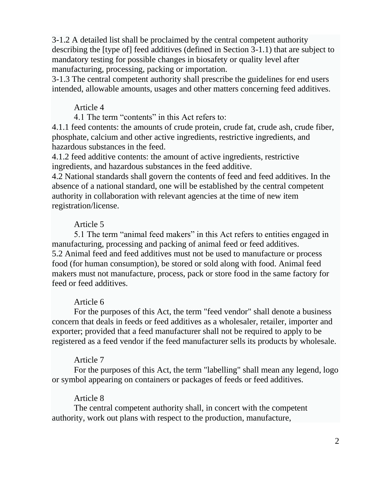3-1.2 A detailed list shall be proclaimed by the central competent authority describing the [type of] feed additives (defined in Section 3-1.1) that are subject to mandatory testing for possible changes in biosafety or quality level after manufacturing, processing, packing or importation.

3-1.3 The central competent authority shall prescribe the guidelines for end users intended, allowable amounts, usages and other matters concerning feed additives.

#### Article 4

4.1 The term "contents" in this Act refers to:

4.1.1 feed contents: the amounts of crude protein, crude fat, crude ash, crude fiber, phosphate, calcium and other active ingredients, restrictive ingredients, and hazardous substances in the feed.

4.1.2 feed additive contents: the amount of active ingredients, restrictive ingredients, and hazardous substances in the feed additive.

4.2 National standards shall govern the contents of feed and feed additives. In the absence of a national standard, one will be established by the central competent authority in collaboration with relevant agencies at the time of new item registration/license.

## Article 5

5.1 The term "animal feed makers" in this Act refers to entities engaged in manufacturing, processing and packing of animal feed or feed additives. 5.2 Animal feed and feed additives must not be used to manufacture or process food (for human consumption), be stored or sold along with food. Animal feed makers must not manufacture, process, pack or store food in the same factory for feed or feed additives.

## Article 6

For the purposes of this Act, the term "feed vendor" shall denote a business concern that deals in feeds or feed additives as a wholesaler, retailer, importer and exporter; provided that a feed manufacturer shall not be required to apply to be registered as a feed vendor if the feed manufacturer sells its products by wholesale.

## Article 7

For the purposes of this Act, the term "labelling" shall mean any legend, logo or symbol appearing on containers or packages of feeds or feed additives.

## Article 8

The central competent authority shall, in concert with the competent authority, work out plans with respect to the production, manufacture,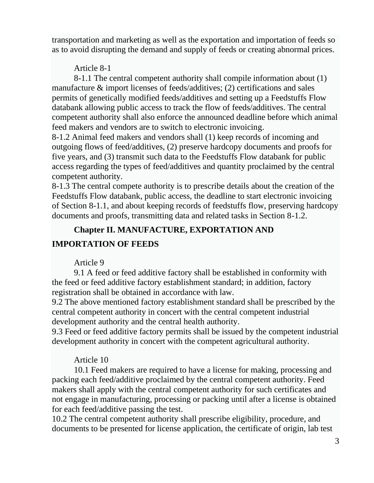transportation and marketing as well as the exportation and importation of feeds so as to avoid disrupting the demand and supply of feeds or creating abnormal prices.

Article 8-1

8-1.1 The central competent authority shall compile information about (1) manufacture & import licenses of feeds/additives; (2) certifications and sales permits of genetically modified feeds/additives and setting up a Feedstuffs Flow databank allowing public access to track the flow of feeds/additives. The central competent authority shall also enforce the announced deadline before which animal feed makers and vendors are to switch to electronic invoicing.

8-1.2 Animal feed makers and vendors shall (1) keep records of incoming and outgoing flows of feed/additives, (2) preserve hardcopy documents and proofs for five years, and (3) transmit such data to the Feedstuffs Flow databank for public access regarding the types of feed/additives and quantity proclaimed by the central competent authority.

8-1.3 The central compete authority is to prescribe details about the creation of the Feedstuffs Flow databank, public access, the deadline to start electronic invoicing of Section 8-1.1, and about keeping records of feedstuffs flow, preserving hardcopy documents and proofs, transmitting data and related tasks in Section 8-1.2.

# **Chapter II. MANUFACTURE, EXPORTATION AND**

# **IMPORTATION OF FEEDS**

# Article 9

9.1 A feed or feed additive factory shall be established in conformity with the feed or feed additive factory establishment standard; in addition, factory registration shall be obtained in accordance with law.

9.2 The above mentioned factory establishment standard shall be prescribed by the central competent authority in concert with the central competent industrial development authority and the central health authority.

9.3 Feed or feed additive factory permits shall be issued by the competent industrial development authority in concert with the competent agricultural authority.

# Article 10

10.1 Feed makers are required to have a license for making, processing and packing each feed/additive proclaimed by the central competent authority. Feed makers shall apply with the central competent authority for such certificates and not engage in manufacturing, processing or packing until after a license is obtained for each feed/additive passing the test.

10.2 The central competent authority shall prescribe eligibility, procedure, and documents to be presented for license application, the certificate of origin, lab test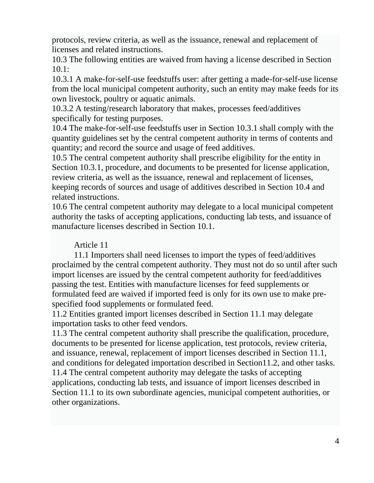protocols, review criteria, as well as the issuance, renewal and replacement of licenses and related instructions.

10.3 The following entities are waived from having a license described in Section 10.1:

10.3.1 A make-for-self-use feedstuffs user: after getting a made-for-self-use license from the local municipal competent authority, such an entity may make feeds for its own livestock, poultry or aquatic animals.

10.3.2 A testing/research laboratory that makes, processes feed/additives specifically for testing purposes.

10.4 The make-for-self-use feedstuffs user in Section 10.3.1 shall comply with the quantity guidelines set by the central competent authority in terms of contents and quantity; and record the source and usage of feed additives.

10.5 The central competent authority shall prescribe eligibility for the entity in Section 10.3.1, procedure, and documents to be presented for license application, review criteria, as well as the issuance, renewal and replacement of licenses, keeping records of sources and usage of additives described in Section 10.4 and related instructions.

10.6 The central competent authority may delegate to a local municipal competent authority the tasks of accepting applications, conducting lab tests, and issuance of manufacture licenses described in Section 10.1.

## Article 11

11.1 Importers shall need licenses to import the types of feed/additives proclaimed by the central competent authority. They must not do so until after such import licenses are issued by the central competent authority for feed/additives passing the test. Entities with manufacture licenses for feed supplements or formulated feed are waived if imported feed is only for its own use to make prespecified food supplements or formulated feed.

11.2 Entities granted import licenses described in Section 11.1 may delegate importation tasks to other feed vendors.

11.3 The central competent authority shall prescribe the qualification, procedure, documents to be presented for license application, test protocols, review criteria, and issuance, renewal, replacement of import licenses described in Section 11.1, and conditions for delegated importation described in Section11.2, and other tasks. 11.4 The central competent authority may delegate the tasks of accepting applications, conducting lab tests, and issuance of import licenses described in Section 11.1 to its own subordinate agencies, municipal competent authorities, or other organizations.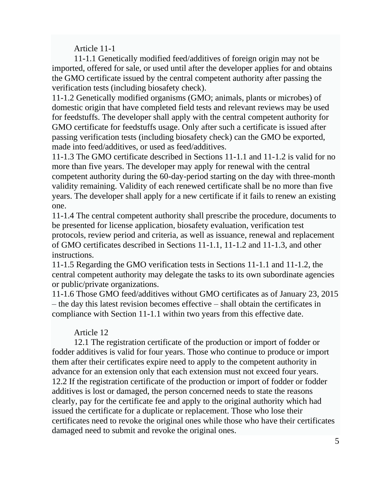Article 11-1

11-1.1 Genetically modified feed/additives of foreign origin may not be imported, offered for sale, or used until after the developer applies for and obtains the GMO certificate issued by the central competent authority after passing the verification tests (including biosafety check).

11-1.2 Genetically modified organisms (GMO; animals, plants or microbes) of domestic origin that have completed field tests and relevant reviews may be used for feedstuffs. The developer shall apply with the central competent authority for GMO certificate for feedstuffs usage. Only after such a certificate is issued after passing verification tests (including biosafety check) can the GMO be exported, made into feed/additives, or used as feed/additives.

11-1.3 The GMO certificate described in Sections 11-1.1 and 11-1.2 is valid for no more than five years. The developer may apply for renewal with the central competent authority during the 60-day-period starting on the day with three-month validity remaining. Validity of each renewed certificate shall be no more than five years. The developer shall apply for a new certificate if it fails to renew an existing one.

11-1.4 The central competent authority shall prescribe the procedure, documents to be presented for license application, biosafety evaluation, verification test protocols, review period and criteria, as well as issuance, renewal and replacement of GMO certificates described in Sections 11-1.1, 11-1.2 and 11-1.3, and other instructions.

11-1.5 Regarding the GMO verification tests in Sections 11-1.1 and 11-1.2, the central competent authority may delegate the tasks to its own subordinate agencies or public/private organizations.

11-1.6 Those GMO feed/additives without GMO certificates as of January 23, 2015 – the day this latest revision becomes effective – shall obtain the certificates in compliance with Section 11-1.1 within two years from this effective date.

# Article 12

12.1 The registration certificate of the production or import of fodder or fodder additives is valid for four years. Those who continue to produce or import them after their certificates expire need to apply to the competent authority in advance for an extension only that each extension must not exceed four years. 12.2 If the registration certificate of the production or import of fodder or fodder additives is lost or damaged, the person concerned needs to state the reasons clearly, pay for the certificate fee and apply to the original authority which had issued the certificate for a duplicate or replacement. Those who lose their certificates need to revoke the original ones while those who have their certificates damaged need to submit and revoke the original ones.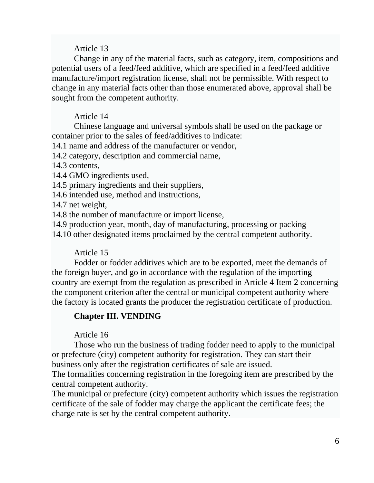Change in any of the material facts, such as category, item, compositions and potential users of a feed/feed additive, which are specified in a feed/feed additive manufacture/import registration license, shall not be permissible. With respect to change in any material facts other than those enumerated above, approval shall be sought from the competent authority.

## Article 14

Chinese language and universal symbols shall be used on the package or container prior to the sales of feed/additives to indicate:

14.1 name and address of the manufacturer or vendor,

14.2 category, description and commercial name,

14.3 contents,

14.4 GMO ingredients used,

14.5 primary ingredients and their suppliers,

14.6 intended use, method and instructions,

14.7 net weight,

14.8 the number of manufacture or import license,

14.9 production year, month, day of manufacturing, processing or packing

14.10 other designated items proclaimed by the central competent authority.

## Article 15

Fodder or fodder additives which are to be exported, meet the demands of the foreign buyer, and go in accordance with the regulation of the importing country are exempt from the regulation as prescribed in Article 4 Item 2 concerning the component criterion after the central or municipal competent authority where the factory is located grants the producer the registration certificate of production.

# **Chapter III. VENDING**

## Article 16

Those who run the business of trading fodder need to apply to the municipal or prefecture (city) competent authority for registration. They can start their business only after the registration certificates of sale are issued.

The formalities concerning registration in the foregoing item are prescribed by the central competent authority.

The municipal or prefecture (city) competent authority which issues the registration certificate of the sale of fodder may charge the applicant the certificate fees; the charge rate is set by the central competent authority.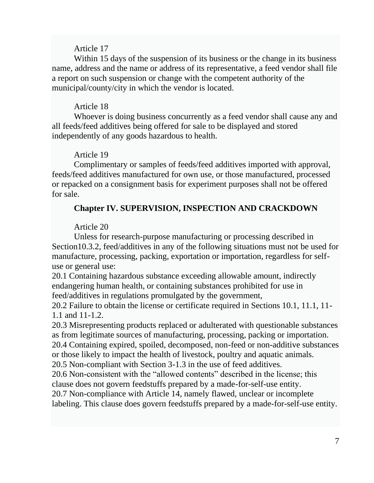Within 15 days of the suspension of its business or the change in its business name, address and the name or address of its representative, a feed vendor shall file a report on such suspension or change with the competent authority of the municipal/county/city in which the vendor is located.

## Article 18

Whoever is doing business concurrently as a feed vendor shall cause any and all feeds/feed additives being offered for sale to be displayed and stored independently of any goods hazardous to health.

## Article 19

Complimentary or samples of feeds/feed additives imported with approval, feeds/feed additives manufactured for own use, or those manufactured, processed or repacked on a consignment basis for experiment purposes shall not be offered for sale.

# **Chapter IV. SUPERVISION, INSPECTION AND CRACKDOWN**

# Article 20

Unless for research-purpose manufacturing or processing described in Section10.3.2, feed/additives in any of the following situations must not be used for manufacture, processing, packing, exportation or importation, regardless for selfuse or general use:

20.1 Containing hazardous substance exceeding allowable amount, indirectly endangering human health, or containing substances prohibited for use in feed/additives in regulations promulgated by the government,

20.2 Failure to obtain the license or certificate required in Sections 10.1, 11.1, 11- 1.1 and 11-1.2.

20.3 Misrepresenting products replaced or adulterated with questionable substances as from legitimate sources of manufacturing, processing, packing or importation. 20.4 Containing expired, spoiled, decomposed, non-feed or non-additive substances

or those likely to impact the health of livestock, poultry and aquatic animals.

20.5 Non-compliant with Section 3-1.3 in the use of feed additives.

20.6 Non-consistent with the "allowed contents" described in the license; this clause does not govern feedstuffs prepared by a made-for-self-use entity.

20.7 Non-compliance with Article 14, namely flawed, unclear or incomplete labeling. This clause does govern feedstuffs prepared by a made-for-self-use entity.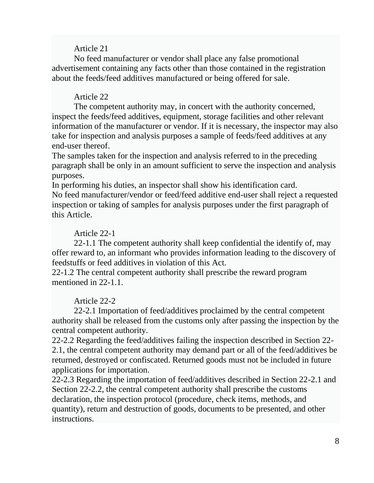No feed manufacturer or vendor shall place any false promotional advertisement containing any facts other than those contained in the registration about the feeds/feed additives manufactured or being offered for sale.

## Article 22

The competent authority may, in concert with the authority concerned, inspect the feeds/feed additives, equipment, storage facilities and other relevant information of the manufacturer or vendor. If it is necessary, the inspector may also take for inspection and analysis purposes a sample of feeds/feed additives at any end-user thereof.

The samples taken for the inspection and analysis referred to in the preceding paragraph shall be only in an amount sufficient to serve the inspection and analysis purposes.

In performing his duties, an inspector shall show his identification card. No feed manufacturer/vendor or feed/feed additive end-user shall reject a requested inspection or taking of samples for analysis purposes under the first paragraph of this Article.

## Article 22-1

22-1.1 The competent authority shall keep confidential the identify of, may offer reward to, an informant who provides information leading to the discovery of feedstuffs or feed additives in violation of this Act.

22-1.2 The central competent authority shall prescribe the reward program mentioned in 22-1.1.

# Article 22-2

22-2.1 Importation of feed/additives proclaimed by the central competent authority shall be released from the customs only after passing the inspection by the central competent authority.

22-2.2 Regarding the feed/additives failing the inspection described in Section 22- 2.1, the central competent authority may demand part or all of the feed/additives be returned, destroyed or confiscated. Returned goods must not be included in future applications for importation.

22-2.3 Regarding the importation of feed/additives described in Section 22-2.1 and Section 22-2.2, the central competent authority shall prescribe the customs declaration, the inspection protocol (procedure, check items, methods, and quantity), return and destruction of goods, documents to be presented, and other instructions.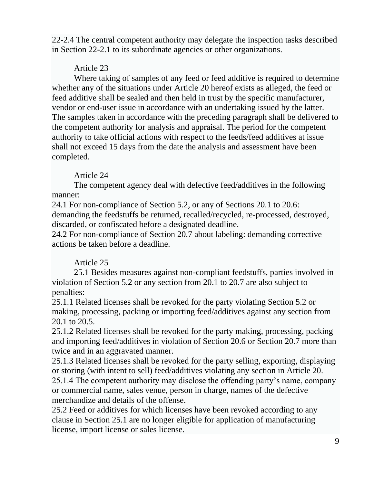22-2.4 The central competent authority may delegate the inspection tasks described in Section 22-2.1 to its subordinate agencies or other organizations.

# Article 23

Where taking of samples of any feed or feed additive is required to determine whether any of the situations under Article 20 hereof exists as alleged, the feed or feed additive shall be sealed and then held in trust by the specific manufacturer, vendor or end-user issue in accordance with an undertaking issued by the latter. The samples taken in accordance with the preceding paragraph shall be delivered to the competent authority for analysis and appraisal. The period for the competent authority to take official actions with respect to the feeds/feed additives at issue shall not exceed 15 days from the date the analysis and assessment have been completed.

# Article 24

The competent agency deal with defective feed/additives in the following manner:

24.1 For non-compliance of Section 5.2, or any of Sections 20.1 to 20.6: demanding the feedstuffs be returned, recalled/recycled, re-processed, destroyed, discarded, or confiscated before a designated deadline.

24.2 For non-compliance of Section 20.7 about labeling: demanding corrective actions be taken before a deadline.

# Article 25

25.1 Besides measures against non-compliant feedstuffs, parties involved in violation of Section 5.2 or any section from 20.1 to 20.7 are also subject to penalties:

25.1.1 Related licenses shall be revoked for the party violating Section 5.2 or making, processing, packing or importing feed/additives against any section from 20.1 to 20.5.

25.1.2 Related licenses shall be revoked for the party making, processing, packing and importing feed/additives in violation of Section 20.6 or Section 20.7 more than twice and in an aggravated manner.

25.1.3 Related licenses shall be revoked for the party selling, exporting, displaying or storing (with intent to sell) feed/additives violating any section in Article 20.

25.1.4 The competent authority may disclose the offending party's name, company or commercial name, sales venue, person in charge, names of the defective merchandize and details of the offense.

25.2 Feed or additives for which licenses have been revoked according to any clause in Section 25.1 are no longer eligible for application of manufacturing license, import license or sales license.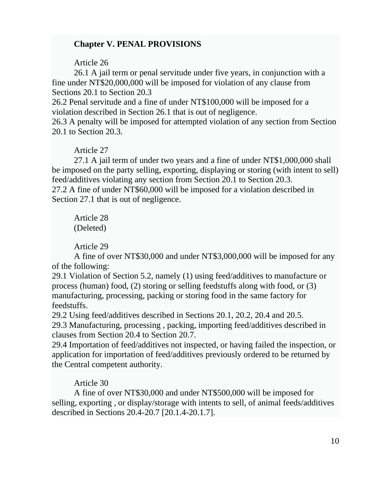# **Chapter V. PENAL PROVISIONS**

Article 26

26.1 A jail term or penal servitude under five years, in conjunction with a fine under NT\$20,000,000 will be imposed for violation of any clause from Sections 20.1 to Section 20.3

26.2 Penal servitude and a fine of under NT\$100,000 will be imposed for a violation described in Section 26.1 that is out of negligence.

26.3 A penalty will be imposed for attempted violation of any section from Section 20.1 to Section 20.3.

## Article 27

27.1 A jail term of under two years and a fine of under NT\$1,000,000 shall be imposed on the party selling, exporting, displaying or storing (with intent to sell) feed/additives violating any section from Section 20.1 to Section 20.3. 27.2 A fine of under NT\$60,000 will be imposed for a violation described in Section 27.1 that is out of negligence.

Article 28 (Deleted)

Article 29

A fine of over NT\$30,000 and under NT\$3,000,000 will be imposed for any of the following:

29.1 Violation of Section 5.2, namely (1) using feed/additives to manufacture or process (human) food, (2) storing or selling feedstuffs along with food, or (3) manufacturing, processing, packing or storing food in the same factory for feedstuffs.

29.2 Using feed/additives described in Sections 20.1, 20.2, 20.4 and 20.5. 29.3 Manufacturing, processing , packing, importing feed/additives described in clauses from Section 20.4 to Section 20.7.

29.4 Importation of feed/additives not inspected, or having failed the inspection, or application for importation of feed/additives previously ordered to be returned by the Central competent authority.

# Article 30

A fine of over NT\$30,000 and under NT\$500,000 will be imposed for selling, exporting , or display/storage with intents to sell, of animal feeds/additives described in Sections 20.4-20.7 [20.1.4-20.1.7].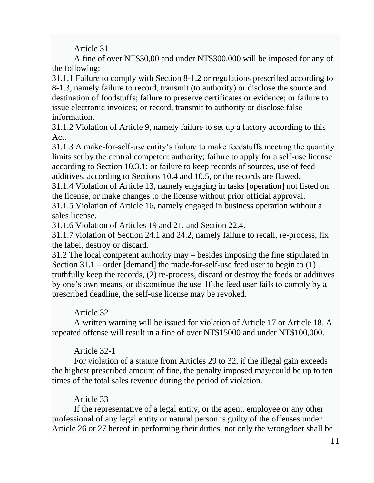A fine of over NT\$30,00 and under NT\$300,000 will be imposed for any of the following:

31.1.1 Failure to comply with Section 8-1.2 or regulations prescribed according to 8-1.3, namely failure to record, transmit (to authority) or disclose the source and destination of foodstuffs; failure to preserve certificates or evidence; or failure to issue electronic invoices; or record, transmit to authority or disclose false information.

31.1.2 Violation of Article 9, namely failure to set up a factory according to this Act.

31.1.3 A make-for-self-use entity's failure to make feedstuffs meeting the quantity limits set by the central competent authority; failure to apply for a self-use license according to Section 10.3.1; or failure to keep records of sources, use of feed additives, according to Sections 10.4 and 10.5, or the records are flawed.

31.1.4 Violation of Article 13, namely engaging in tasks [operation] not listed on the license, or make changes to the license without prior official approval.

31.1.5 Violation of Article 16, namely engaged in business operation without a sales license.

31.1.6 Violation of Articles 19 and 21, and Section 22.4.

31.1.7 violation of Section 24.1 and 24.2, namely failure to recall, re-process, fix the label, destroy or discard.

31.2 The local competent authority may – besides imposing the fine stipulated in Section 31.1 – order [demand] the made-for-self-use feed user to begin to (1) truthfully keep the records, (2) re-process, discard or destroy the feeds or additives by one's own means, or discontinue the use. If the feed user fails to comply by a prescribed deadline, the self-use license may be revoked.

# Article 32

A written warning will be issued for violation of Article 17 or Article 18. A repeated offense will result in a fine of over NT\$15000 and under NT\$100,000.

# Article 32-1

For violation of a statute from Articles 29 to 32, if the illegal gain exceeds the highest prescribed amount of fine, the penalty imposed may/could be up to ten times of the total sales revenue during the period of violation.

# Article 33

If the representative of a legal entity, or the agent, employee or any other professional of any legal entity or natural person is guilty of the offenses under Article 26 or 27 hereof in performing their duties, not only the wrongdoer shall be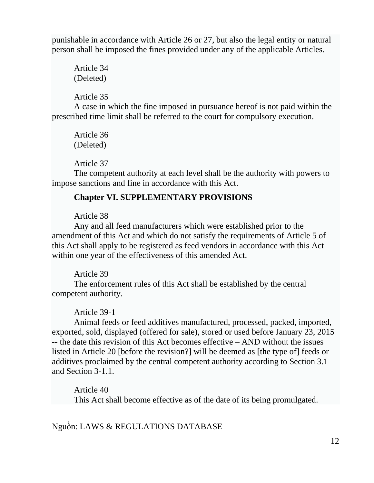punishable in accordance with Article 26 or 27, but also the legal entity or natural person shall be imposed the fines provided under any of the applicable Articles.

Article 34 (Deleted)

Article 35

A case in which the fine imposed in pursuance hereof is not paid within the prescribed time limit shall be referred to the court for compulsory execution.

Article 36 (Deleted)

Article 37

The competent authority at each level shall be the authority with powers to impose sanctions and fine in accordance with this Act.

# **Chapter VI. SUPPLEMENTARY PROVISIONS**

Article 38

Any and all feed manufacturers which were established prior to the amendment of this Act and which do not satisfy the requirements of Article 5 of this Act shall apply to be registered as feed vendors in accordance with this Act within one year of the effectiveness of this amended Act.

Article 39

The enforcement rules of this Act shall be established by the central competent authority.

Article 39-1

Animal feeds or feed additives manufactured, processed, packed, imported, exported, sold, displayed (offered for sale), stored or used before January 23, 2015 -- the date this revision of this Act becomes effective – AND without the issues listed in Article 20 [before the revision?] will be deemed as [the type of] feeds or additives proclaimed by the central competent authority according to Section 3.1 and Section 3-1.1.

Article 40 This Act shall become effective as of the date of its being promulgated.

Nguồn: LAWS & REGULATIONS DATABASE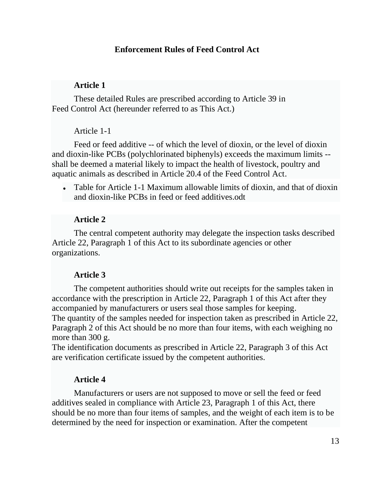## **[Enforcement Rules of Feed Control Act](https://law.moj.gov.tw/ENG/LawClass/LawAll.aspx?pcode=M0060002)**

#### **Article 1**

These detailed Rules are prescribed according to Article 39 in Feed Control Act (hereunder referred to as This Act.)

#### Article 1-1

Feed or feed additive -- of which the level of dioxin, or the level of dioxin and dioxin-like PCBs (polychlorinated biphenyls) exceeds the maximum limits - shall be deemed a material likely to impact the health of livestock, poultry and aquatic animals as described in Article 20.4 of the Feed Control Act.

• Table for Article 1-1 Maximum allowable limits of dioxin, and that of dioxin and dioxin-like PCBs in feed or feed additives.odt

#### **Article 2**

The central competent authority may delegate the inspection tasks described Article 22, Paragraph 1 of this Act to its subordinate agencies or other organizations.

#### **Article 3**

The competent authorities should write out receipts for the samples taken in accordance with the prescription in Article 22, Paragraph 1 of this Act after they accompanied by manufacturers or users seal those samples for keeping. The quantity of the samples needed for inspection taken as prescribed in Article 22, Paragraph 2 of this Act should be no more than four items, with each weighing no more than 300 g.

The identification documents as prescribed in Article 22, Paragraph 3 of this Act are verification certificate issued by the competent authorities.

#### **Article 4**

Manufacturers or users are not supposed to move or sell the feed or feed additives sealed in compliance with Article 23, Paragraph 1 of this Act, there should be no more than four items of samples, and the weight of each item is to be determined by the need for inspection or examination. After the competent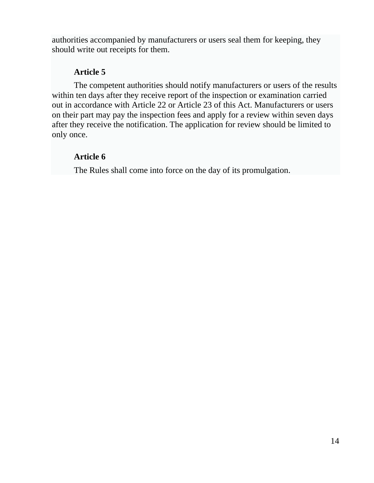authorities accompanied by manufacturers or users seal them for keeping, they should write out receipts for them.

# **Article 5**

The competent authorities should notify manufacturers or users of the results within ten days after they receive report of the inspection or examination carried out in accordance with Article 22 or Article 23 of this Act. Manufacturers or users on their part may pay the inspection fees and apply for a review within seven days after they receive the notification. The application for review should be limited to only once.

# **Article 6**

The Rules shall come into force on the day of its promulgation.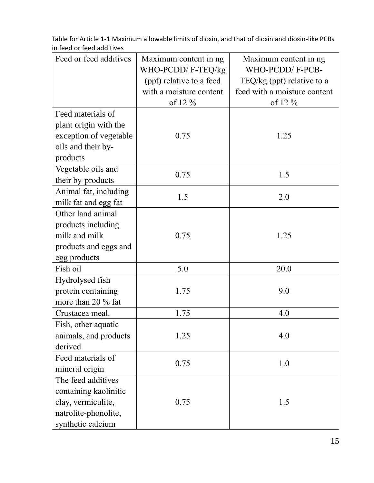| Feed or feed additives | Maximum content in ng    | Maximum content in ng        |
|------------------------|--------------------------|------------------------------|
|                        | WHO-PCDD/F-TEQ/kg        | WHO-PCDD/F-PCB-              |
|                        | (ppt) relative to a feed | TEQ/kg (ppt) relative to a   |
|                        | with a moisture content  | feed with a moisture content |
|                        | of 12 %                  | of 12 %                      |
| Feed materials of      |                          |                              |
| plant origin with the  |                          |                              |
| exception of vegetable | 0.75                     | 1.25                         |
| oils and their by-     |                          |                              |
| products               |                          |                              |
| Vegetable oils and     | 0.75                     | 1.5                          |
| their by-products      |                          |                              |
| Animal fat, including  | 1.5                      | 2.0                          |
| milk fat and egg fat   |                          |                              |
| Other land animal      |                          |                              |
| products including     |                          |                              |
| milk and milk          | 0.75                     | 1.25                         |
| products and eggs and  |                          |                              |
| egg products           |                          |                              |
| Fish oil               | 5.0                      | 20.0                         |
| Hydrolysed fish        |                          |                              |
| protein containing     | 1.75                     | 9.0                          |
| more than 20 % fat     |                          |                              |
| Crustacea meal.        | 1.75                     | 4.0                          |
| Fish, other aquatic    |                          |                              |
| animals, and products  | 1.25                     | 4.0                          |
| derived                |                          |                              |
| Feed materials of      |                          |                              |
| mineral origin         | 0.75                     | 1.0                          |
| The feed additives     |                          |                              |
| containing kaolinitic  |                          |                              |
| clay, vermiculite,     | 0.75                     | 1.5                          |
| natrolite-phonolite,   |                          |                              |
| synthetic calcium      |                          |                              |

Table for Article 1-1 Maximum allowable limits of dioxin, and that of dioxin and dioxin-like PCBs in feed or feed additives